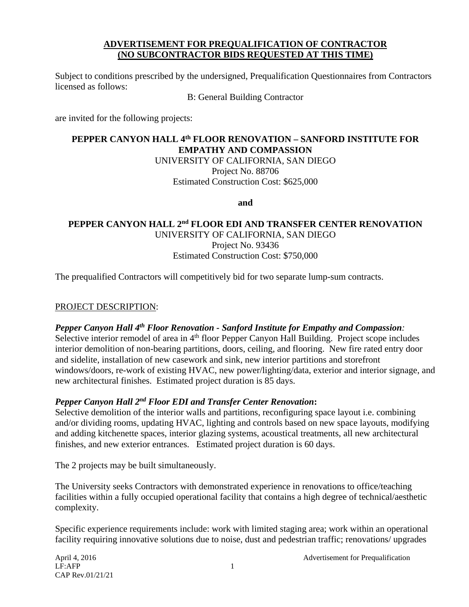### **ADVERTISEMENT FOR PREQUALIFICATION OF CONTRACTOR (NO SUBCONTRACTOR BIDS REQUESTED AT THIS TIME)**

Subject to conditions prescribed by the undersigned, Prequalification Questionnaires from Contractors licensed as follows:

B: General Building Contractor

are invited for the following projects:

# **PEPPER CANYON HALL 4th FLOOR RENOVATION – SANFORD INSTITUTE FOR EMPATHY AND COMPASSION**

UNIVERSITY OF CALIFORNIA, SAN DIEGO Project No. 88706 Estimated Construction Cost: \$625,000

**and**

### **PEPPER CANYON HALL 2nd FLOOR EDI AND TRANSFER CENTER RENOVATION** UNIVERSITY OF CALIFORNIA, SAN DIEGO Project No. 93436 Estimated Construction Cost: \$750,000

The prequalified Contractors will competitively bid for two separate lump-sum contracts.

#### PROJECT DESCRIPTION:

## *Pepper Canyon Hall 4th Floor Renovation - Sanford Institute for Empathy and Compassion:*

Selective interior remodel of area in 4<sup>th</sup> floor Pepper Canyon Hall Building. Project scope includes interior demolition of non-bearing partitions, doors, ceiling, and flooring. New fire rated entry door and sidelite, installation of new casework and sink, new interior partitions and storefront windows/doors, re-work of existing HVAC, new power/lighting/data, exterior and interior signage, and new architectural finishes. Estimated project duration is 85 days.

## *Pepper Canyon Hall 2nd Floor EDI and Transfer Center Renovation***:**

Selective demolition of the interior walls and partitions, reconfiguring space layout i.e. combining and/or dividing rooms, updating HVAC, lighting and controls based on new space layouts, modifying and adding kitchenette spaces, interior glazing systems, acoustical treatments, all new architectural finishes, and new exterior entrances. Estimated project duration is 60 days.

The 2 projects may be built simultaneously.

The University seeks Contractors with demonstrated experience in renovations to office/teaching facilities within a fully occupied operational facility that contains a high degree of technical/aesthetic complexity.

Specific experience requirements include: work with limited staging area; work within an operational facility requiring innovative solutions due to noise, dust and pedestrian traffic; renovations/ upgrades

April 4, 2016 **Advertisement for Prequalification**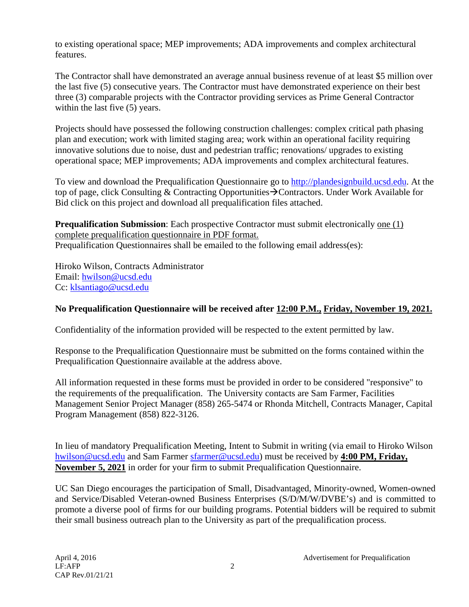to existing operational space; MEP improvements; ADA improvements and complex architectural features.

The Contractor shall have demonstrated an average annual business revenue of at least \$5 million over the last five (5) consecutive years. The Contractor must have demonstrated experience on their best three (3) comparable projects with the Contractor providing services as Prime General Contractor within the last five  $(5)$  years.

Projects should have possessed the following construction challenges: complex critical path phasing plan and execution; work with limited staging area; work within an operational facility requiring innovative solutions due to noise, dust and pedestrian traffic; renovations/ upgrades to existing operational space; MEP improvements; ADA improvements and complex architectural features.

To view and download the Prequalification Questionnaire go to [http://plandesignbuild.ucsd.edu.](http://plandesignbuild.ucsd.edu/) At the top of page, click Consulting & Contracting Opportunities  $\rightarrow$  Contractors. Under Work Available for Bid click on this project and download all prequalification files attached.

**Prequalification Submission**: Each prospective Contractor must submit electronically one (1) complete prequalification questionnaire in PDF format. Prequalification Questionnaires shall be emailed to the following email address(es):

Hiroko Wilson, Contracts Administrator Email: [hwilson@ucsd.edu](mailto:hwilson@ucsd.edu) Cc: [klsantiago@ucsd.edu](mailto:klsantiago@ucsd.edu)

## **No Prequalification Questionnaire will be received after 12:00 P.M., Friday, November 19, 2021.**

Confidentiality of the information provided will be respected to the extent permitted by law.

Response to the Prequalification Questionnaire must be submitted on the forms contained within the Prequalification Questionnaire available at the address above.

All information requested in these forms must be provided in order to be considered "responsive" to the requirements of the prequalification. The University contacts are Sam Farmer, Facilities Management Senior Project Manager (858) 265-5474 or Rhonda Mitchell, Contracts Manager, Capital Program Management (858) 822-3126.

In lieu of mandatory Prequalification Meeting, Intent to Submit in writing (via email to Hiroko Wilson [hwilson@ucsd.edu](mailto:hwilson@ucsd.edu) and Sam Farmer [sfarmer@ucsd.edu\)](mailto:sfarmer@ucsd.edu) must be received by **4:00 PM, Friday, November 5, 2021** in order for your firm to submit Prequalification Questionnaire.

UC San Diego encourages the participation of Small, Disadvantaged, Minority-owned, Women-owned and Service/Disabled Veteran-owned Business Enterprises (S/D/M/W/DVBE's) and is committed to promote a diverse pool of firms for our building programs. Potential bidders will be required to submit their small business outreach plan to the University as part of the prequalification process.